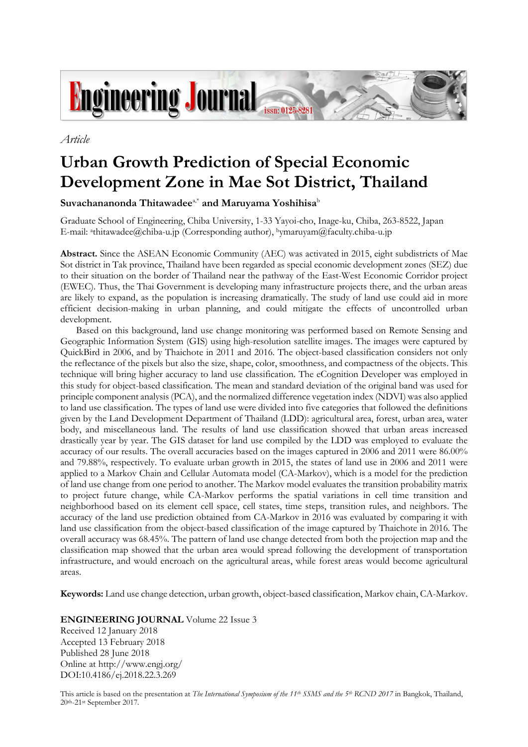

*Article*

# **Urban Growth Prediction of Special Economic Development Zone in Mae Sot District, Thailand**

# **Suvachananonda Thitawadee**a,\* **and Maruyama Yoshihisa**<sup>b</sup>

Graduate School of Engineering, Chiba University, 1-33 Yayoi-cho, Inage-ku, Chiba, 263-8522, Japan E-mail: <sup>a</sup> thitawadee@chiba-u.jp (Corresponding author), <sup>b</sup>ymaruyam@faculty.chiba-u.jp

**Abstract.** Since the ASEAN Economic Community (AEC) was activated in 2015, eight subdistricts of Mae Sot district in Tak province, Thailand have been regarded as special economic development zones (SEZ) due to their situation on the border of Thailand near the pathway of the East-West Economic Corridor project (EWEC). Thus, the Thai Government is developing many infrastructure projects there, and the urban areas are likely to expand, as the population is increasing dramatically. The study of land use could aid in more efficient decision-making in urban planning, and could mitigate the effects of uncontrolled urban development.

Based on this background, land use change monitoring was performed based on Remote Sensing and Geographic Information System (GIS) using high-resolution satellite images. The images were captured by QuickBird in 2006, and by Thaichote in 2011 and 2016. The object-based classification considers not only the reflectance of the pixels but also the size, shape, color, smoothness, and compactness of the objects. This technique will bring higher accuracy to land use classification. The eCognition Developer was employed in this study for object-based classification. The mean and standard deviation of the original band was used for principle component analysis (PCA), and the normalized difference vegetation index (NDVI) was also applied to land use classification. The types of land use were divided into five categories that followed the definitions given by the Land Development Department of Thailand (LDD): agricultural area, forest, urban area, water body, and miscellaneous land. The results of land use classification showed that urban areas increased drastically year by year. The GIS dataset for land use compiled by the LDD was employed to evaluate the accuracy of our results. The overall accuracies based on the images captured in 2006 and 2011 were 86.00% and 79.88%, respectively. To evaluate urban growth in 2015, the states of land use in 2006 and 2011 were applied to a Markov Chain and Cellular Automata model (CA-Markov), which is a model for the prediction of land use change from one period to another. The Markov model evaluates the transition probability matrix to project future change, while CA-Markov performs the spatial variations in cell time transition and neighborhood based on its element cell space, cell states, time steps, transition rules, and neighbors. The accuracy of the land use prediction obtained from CA-Markov in 2016 was evaluated by comparing it with land use classification from the object-based classification of the image captured by Thaichote in 2016. The overall accuracy was 68.45%. The pattern of land use change detected from both the projection map and the classification map showed that the urban area would spread following the development of transportation infrastructure, and would encroach on the agricultural areas, while forest areas would become agricultural areas.

**Keywords:** Land use change detection, urban growth, object-based classification, Markov chain, CA-Markov.

# **ENGINEERING JOURNAL** Volume 22 Issue 3

Received 12 January 2018 Accepted 13 February 2018 Published 28 June 2018 Online at http://www.engj.org/ DOI:10.4186/ej.2018.22.3.269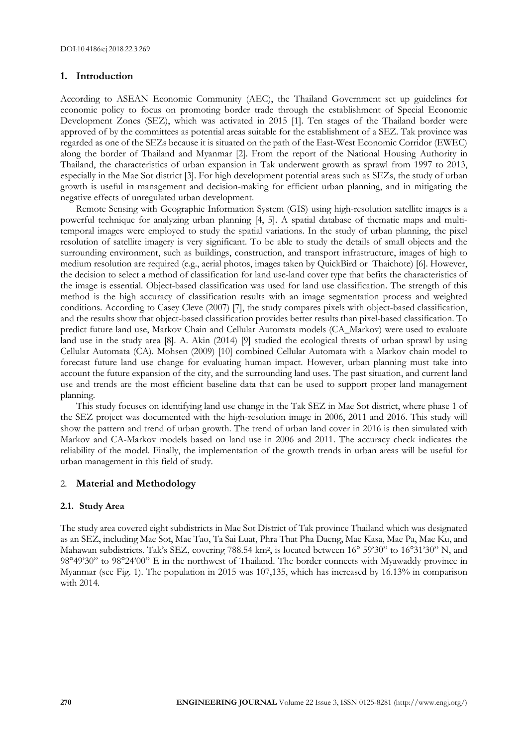#### **1. Introduction**

According to ASEAN Economic Community (AEC), the Thailand Government set up guidelines for economic policy to focus on promoting border trade through the establishment of Special Economic Development Zones (SEZ), which was activated in 2015 [1]. Ten stages of the Thailand border were approved of by the committees as potential areas suitable for the establishment of a SEZ. Tak province was regarded as one of the SEZs because it is situated on the path of the East-West Economic Corridor (EWEC) along the border of Thailand and Myanmar [2]. From the report of the National Housing Authority in Thailand, the characteristics of urban expansion in Tak underwent growth as sprawl from 1997 to 2013, especially in the Mae Sot district [3]. For high development potential areas such as SEZs, the study of urban growth is useful in management and decision-making for efficient urban planning, and in mitigating the negative effects of unregulated urban development.

Remote Sensing with Geographic Information System (GIS) using high-resolution satellite images is a powerful technique for analyzing urban planning [4, 5]. A spatial database of thematic maps and multitemporal images were employed to study the spatial variations. In the study of urban planning, the pixel resolution of satellite imagery is very significant. To be able to study the details of small objects and the surrounding environment, such as buildings, construction, and transport infrastructure, images of high to medium resolution are required (e.g., aerial photos, images taken by QuickBird or Thaichote) [6]. However, the decision to select a method of classification for land use-land cover type that befits the characteristics of the image is essential. Object-based classification was used for land use classification. The strength of this method is the high accuracy of classification results with an image segmentation process and weighted conditions. According to Casey Cleve (2007) [7], the study compares pixels with object-based classification, and the results show that object-based classification provides better results than pixel-based classification. To predict future land use, Markov Chain and Cellular Automata models (CA\_Markov) were used to evaluate land use in the study area [8]. A. Akin (2014) [9] studied the ecological threats of urban sprawl by using Cellular Automata (CA). Mohsen (2009) [10] combined Cellular Automata with a Markov chain model to forecast future land use change for evaluating human impact. However, urban planning must take into account the future expansion of the city, and the surrounding land uses. The past situation, and current land use and trends are the most efficient baseline data that can be used to support proper land management planning.

This study focuses on identifying land use change in the Tak SEZ in Mae Sot district, where phase 1 of the SEZ project was documented with the high-resolution image in 2006, 2011 and 2016. This study will show the pattern and trend of urban growth. The trend of urban land cover in 2016 is then simulated with Markov and CA-Markov models based on land use in 2006 and 2011. The accuracy check indicates the reliability of the model. Finally, the implementation of the growth trends in urban areas will be useful for urban management in this field of study.

## 2. **Material and Methodology**

#### **2.1. Study Area**

The study area covered eight subdistricts in Mae Sot District of Tak province Thailand which was designated as an SEZ, including Mae Sot, Mae Tao, Ta Sai Luat, Phra That Pha Daeng, Mae Kasa, Mae Pa, Mae Ku, and Mahawan subdistricts. Tak's SEZ, covering 788.54 km<sup>2</sup>, is located between 16° 59'30" to 16°31'30" N, and 98°49'30" to 98°24'00" E in the northwest of Thailand. The border connects with Myawaddy province in Myanmar (see Fig. 1). The population in 2015 was 107,135, which has increased by 16.13% in comparison with 2014.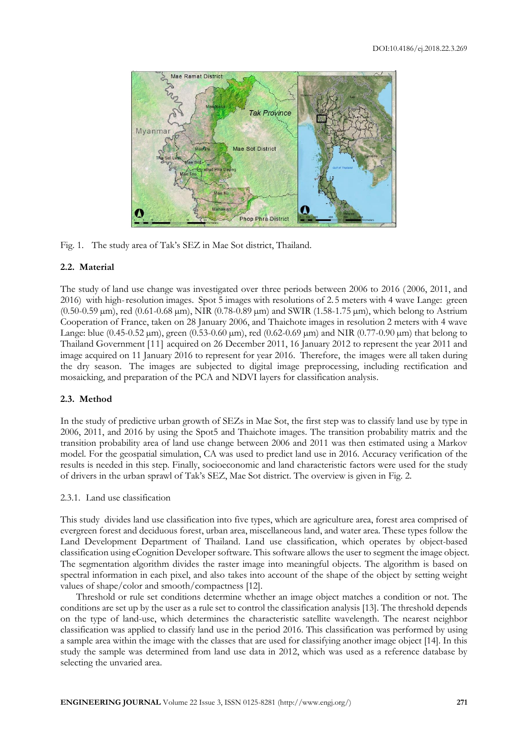

Fig. 1. The study area of Tak's SEZ in Mae Sot district, Thailand.

## **2.2. Material**

The study of land use change was investigated over three periods between 2006 to 2016 ( 2006, 2011, and 2016) with high-resolution images. Spot 5 images with resolutions of 2.5 meters with 4 wave Lange: green  $(0.50-0.59 \,\mu m)$ , red  $(0.61-0.68 \,\mu m)$ , NIR  $(0.78-0.89 \,\mu m)$  and SWIR  $(1.58-1.75 \,\mu m)$ , which belong to Astrium Cooperation of France, taken on 28 January 2006, and Thaichote images in resolution 2 meters with 4 wave Lange: blue  $(0.45-0.52 \,\mu m)$ , green  $(0.53-0.60 \,\mu m)$ , red  $(0.62-0.69 \,\mu m)$  and NIR  $(0.77-0.90 \,\mu m)$  that belong to Thailand Government [11] acquired on 26 December 2011, 16 January 2012 to represent the year 2011 and image acquired on 11 January 2016 to represent for year 2016. Therefore, the images were all taken during the dry season. The images are subjected to digital image preprocessing, including rectification and mosaicking, and preparation of the PCA and NDVI layers for classification analysis.

#### **2.3. Method**

In the study of predictive urban growth of SEZs in Mae Sot, the first step was to classify land use by type in 2006, 2011, and 2016 by using the Spot5 and Thaichote images. The transition probability matrix and the transition probability area of land use change between 2006 and 2011 was then estimated using a Markov model. For the geospatial simulation, CA was used to predict land use in 2016. Accuracy verification of the results is needed in this step. Finally, socioeconomic and land characteristic factors were used for the study of drivers in the urban sprawl of Tak's SEZ, Mae Sot district. The overview is given in Fig. 2.

#### 2.3.1. Land use classification

This study divides land use classification into five types, which are agriculture area, forest area comprised of evergreen forest and deciduous forest, urban area, miscellaneous land, and water area. These types follow the Land Development Department of Thailand. Land use classification, which operates by object-based classification using eCognition Developer software. This software allows the user to segment the image object. The segmentation algorithm divides the raster image into meaningful objects. The algorithm is based on spectral information in each pixel, and also takes into account of the shape of the object by setting weight values of shape/color and smooth/compactness [12].

Threshold or rule set conditions determine whether an image object matches a condition or not. The conditions are set up by the user as a rule set to control the classification analysis [13]. The threshold depends on the type of land-use, which determines the characteristic satellite wavelength. The nearest neighbor classification was applied to classify land use in the period 2016. This classification was performed by using a sample area within the image with the classes that are used for classifying another image object [14]. In this study the sample was determined from land use data in 2012, which was used as a reference database by selecting the unvaried area.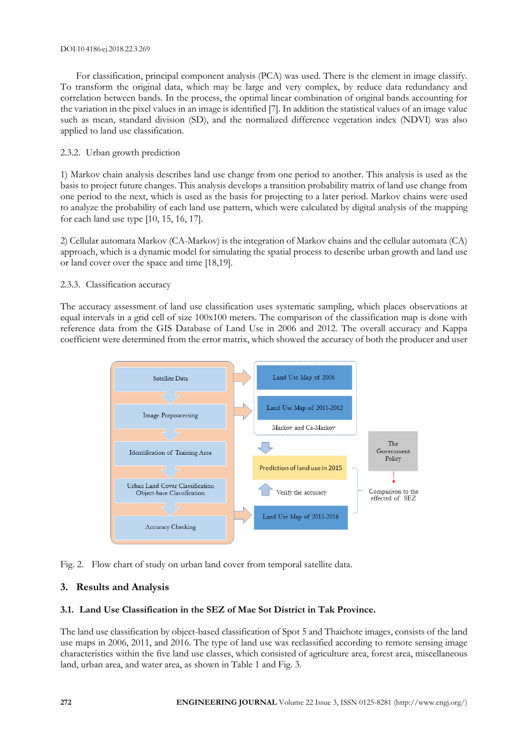#### DOI:10.4186/ej.2018.22.3.269

For classification, principal component analysis (PCA) was used. There is the element in image classify. To transform the original data, which may be large and very complex, by reduce data redundancy and correlation between bands. In the process, the optimal linear combination of original bands accounting for the variation in the pixel values in an image is identified [7]. In addition the statistical values of an image value such as mean, standard division (SD), and the normalized difference vegetation index (NDVI) was also applied to land use classification.

# 2.3.2. Urban growth prediction

1) Markov chain analysis describes land use change from one period to another. This analysis is used as the basis to project future changes. This analysis develops a transition probability matrix of land use change from one period to the next, which is used as the basis for projecting to a later period. Markov chains were used to analyze the probability of each land use pattern, which were calculated by digital analysis of the mapping for each land use type [10, 15, 16, 17].

2) Cellular automata Markov (CA-Markov) is the integration of Markov chains and the cellular automata (CA) approach, which is a dynamic model for simulating the spatial process to describe urban growth and land use or land cover over the space and time [18,19].

# 2.3.3. Classification accuracy

The accuracy assessment of land use classification uses systematic sampling, which places observations at equal intervals in a grid cell of size 100x100 meters. The comparison of the classification map is done with reference data from the GIS Database of Land Use in 2006 and 2012. The overall accuracy and Kappa coefficient were determined from the error matrix, which showed the accuracy of both the producer and user



Fig. 2. Flow chart of study on urban land cover from temporal satellite data.

# **3. Results and Analysis**

# **3.1. Land Use Classification in the SEZ of Mae Sot District in Tak Province.**

The land use classification by object-based classification of Spot 5 and Thaichote images, consists of the land use maps in 2006, 2011, and 2016. The type of land use was reclassified according to remote sensing image characteristics within the five land use classes, which consisted of agriculture area, forest area, miscellaneous land, urban area, and water area, as shown in Table 1 and Fig. 3.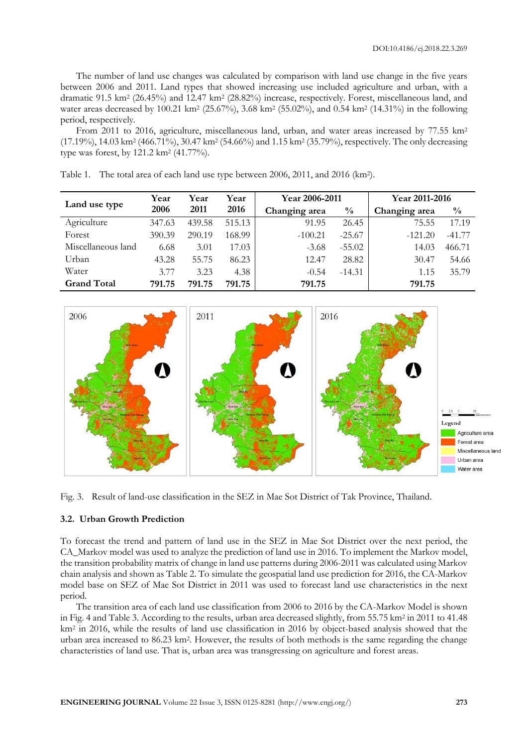The number of land use changes was calculated by comparison with land use change in the five years between 2006 and 2011. Land types that showed increasing use included agriculture and urban, with a dramatic 91.5 km<sup>2</sup> (26.45%) and 12.47 km<sup>2</sup> (28.82%) increase, respectively. Forest, miscellaneous land, and water areas decreased by 100.21 km<sup>2</sup> (25.67%), 3.68 km<sup>2</sup> (55.02%), and 0.54 km<sup>2</sup> (14.31%) in the following period, respectively.

From 2011 to 2016, agriculture, miscellaneous land, urban, and water areas increased by 77.55 km<sup>2</sup> (17.19%), 14.03 km<sup>2</sup> (466.71%), 30.47 km<sup>2</sup> (54.66%) and 1.15 km<sup>2</sup> (35.79%), respectively. The only decreasing type was forest, by 121.2 km<sup>2</sup> (41.77%).

|                    | Year   | Year   | Year   | Year 2006-2011 |               | Year 2011-2016 |               |
|--------------------|--------|--------|--------|----------------|---------------|----------------|---------------|
| Land use type      | 2006   | 2011   | 2016   | Changing area  | $\frac{0}{0}$ | Changing area  | $\frac{0}{0}$ |
| Agriculture        | 347.63 | 439.58 | 515.13 | 91.95          | 26.45         | 75.55          | 17.19         |
| Forest             | 390.39 | 290.19 | 168.99 | $-100.21$      | $-25.67$      | $-121.20$      | $-41.77$      |
| Miscellaneous land | 6.68   | 3.01   | 17.03  | $-3.68$        | $-55.02$      | 14.03          | 466.71        |
| Urban              | 43.28  | 55.75  | 86.23  | 12.47          | 28.82         | 30.47          | 54.66         |
| Water              | 3.77   | 3.23   | 4.38   | $-0.54$        | $-14.31$      | 1.15           | 35.79         |
| <b>Grand Total</b> | 791.75 | 791.75 | 791.75 | 791.75         |               | 791.75         |               |

Table 1. The total area of each land use type between 2006, 2011, and 2016 (km<sup>2</sup> ).



Fig. 3. Result of land-use classification in the SEZ in Mae Sot District of Tak Province, Thailand.

# **3.2. Urban Growth Prediction**

To forecast the trend and pattern of land use in the SEZ in Mae Sot District over the next period, the CA\_Markov model was used to analyze the prediction of land use in 2016. To implement the Markov model, the transition probability matrix of change in land use patterns during 2006-2011 was calculated using Markov chain analysis and shown as Table 2. To simulate the geospatial land use prediction for 2016, the CA-Markov model base on SEZ of Mae Sot District in 2011 was used to forecast land use characteristics in the next period.

The transition area of each land use classification from 2006 to 2016 by the CA-Markov Model is shown in Fig. 4 and Table 3. According to the results, urban area decreased slightly, from 55.75 km<sup>2</sup> in 2011 to 41.48 km<sup>2</sup> in 2016, while the results of land use classification in 2016 by object-based analysis showed that the urban area increased to 86.23 km<sup>2</sup> . However, the results of both methods is the same regarding the change characteristics of land use. That is, urban area was transgressing on agriculture and forest areas.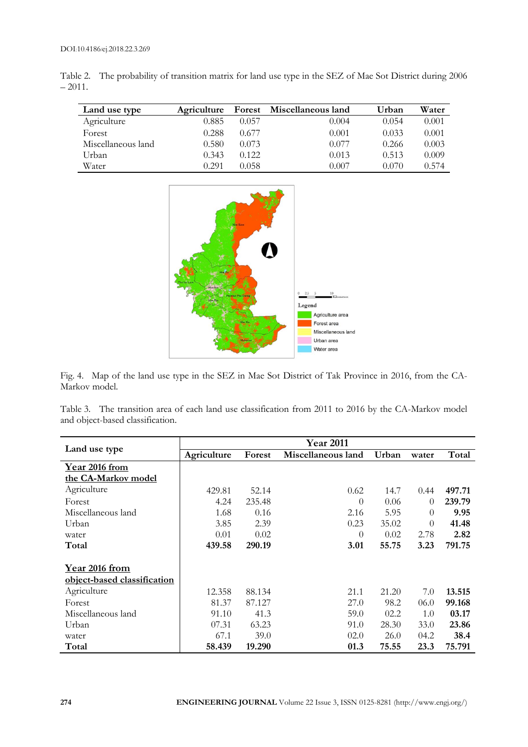|          | Table 2. The probability of transition matrix for land use type in the SEZ of Mae Sot District during 2006 |
|----------|------------------------------------------------------------------------------------------------------------|
| $-2011.$ |                                                                                                            |

| Land use type      | Agriculture | Forest | Miscellaneous land | Urban | Water |
|--------------------|-------------|--------|--------------------|-------|-------|
| Agriculture        | 0.885       | 0.057  | 0.004              | 0.054 | 0.001 |
| Forest             | 0.288       | 0.677  | 0.001              | 0.033 | 0.001 |
| Miscellaneous land | 0.580       | 0.073  | 0.077              | 0.266 | 0.003 |
| Urban              | 0.343       | 0.122  | 0.013              | 0.513 | 0.009 |
| Water              | 0.291       | 0.058  | 0.007              | 0.070 | 0.574 |



Fig. 4. Map of the land use type in the SEZ in Mae Sot District of Tak Province in 2016, from the CA-Markov model.

Table 3. The transition area of each land use classification from 2011 to 2016 by the CA-Markov model and object-based classification.

|                             | <b>Year 2011</b> |        |                    |       |          |        |
|-----------------------------|------------------|--------|--------------------|-------|----------|--------|
| Land use type               | Agriculture      | Forest | Miscellaneous land | Urban | water    | Total  |
| Year 2016 from              |                  |        |                    |       |          |        |
| the CA-Markov model         |                  |        |                    |       |          |        |
| Agriculture                 | 429.81           | 52.14  | 0.62               | 14.7  | 0.44     | 497.71 |
| Forest                      | 4.24             | 235.48 | 0                  | 0.06  | $\Omega$ | 239.79 |
| Miscellaneous land          | 1.68             | 0.16   | 2.16               | 5.95  | $\Omega$ | 9.95   |
| Urban                       | 3.85             | 2.39   | 0.23               | 35.02 | $\Omega$ | 41.48  |
| water                       | 0.01             | 0.02   | 0                  | 0.02  | 2.78     | 2.82   |
| Total                       | 439.58           | 290.19 | 3.01               | 55.75 | 3.23     | 791.75 |
| <b>Year 2016 from</b>       |                  |        |                    |       |          |        |
| object-based classification |                  |        |                    |       |          |        |
| Agriculture                 | 12.358           | 88.134 | 21.1               | 21.20 | 7.0      | 13.515 |
| Forest                      | 81.37            | 87.127 | 27.0               | 98.2  | 06.0     | 99.168 |
| Miscellaneous land          | 91.10            | 41.3   | 59.0               | 02.2  | 1.0      | 03.17  |
| Urban                       | 07.31            | 63.23  | 91.0               | 28.30 | 33.0     | 23.86  |
| water                       | 67.1             | 39.0   | 02.0               | 26.0  | 04.2     | 38.4   |
| Total                       | 58.439           | 19.290 | 01.3               | 75.55 | 23.3     | 75.791 |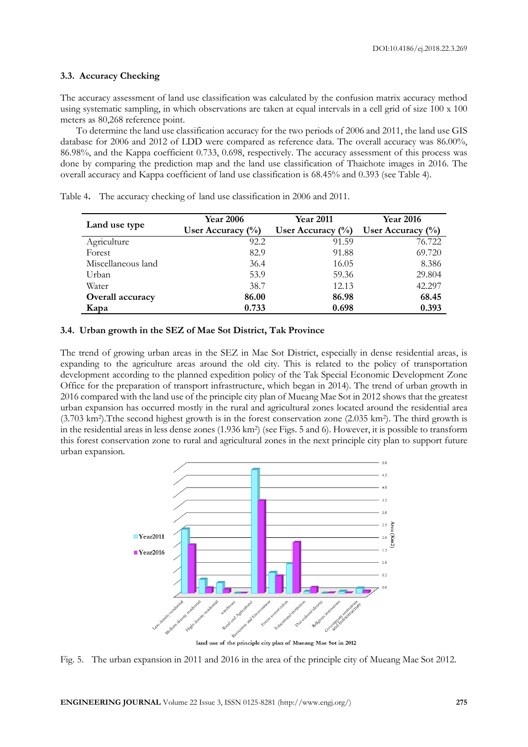#### **3.3. Accuracy Checking**

The accuracy assessment of land use classification was calculated by the confusion matrix accuracy method using systematic sampling, in which observations are taken at equal intervals in a cell grid of size 100 x 100 meters as 80,268 reference point.

To determine the land use classification accuracy for the two periods of 2006 and 2011, the land use GIS database for 2006 and 2012 of LDD were compared as reference data. The overall accuracy was 86.00%, 86.98%, and the Kappa coefficient 0.733, 0.698, respectively. The accuracy assessment of this process was done by comparing the prediction map and the land use classification of Thaichote images in 2016. The overall accuracy and Kappa coefficient of land use classification is 68.45% and 0.393 (see Table 4).

| Land use type      | <b>Year 2006</b><br>User Accuracy $(\%)$ | <b>Year 2011</b><br>User Accuracy $(\%)$ | <b>Year 2016</b><br>User Accuracy $(\%)$ |  |
|--------------------|------------------------------------------|------------------------------------------|------------------------------------------|--|
| Agriculture        | 92.2                                     | 91.59                                    | 76.722                                   |  |
| Forest             | 82.9                                     | 91.88                                    | 69.720                                   |  |
| Miscellaneous land | 36.4                                     | 16.05                                    | 8.386                                    |  |
| Urban              | 53.9                                     | 59.36                                    | 29.804                                   |  |
| Water              | 38.7                                     | 12.13                                    | 42.297                                   |  |
| Overall accuracy   | 86.00                                    | 86.98                                    | 68.45                                    |  |
| Kapa               | 0.733                                    | 0.698                                    | 0.393                                    |  |

Table 4**.** The accuracy checking of land use classification in 2006 and 2011.

#### **3.4. Urban growth in the SEZ of Mae Sot District, Tak Province**

The trend of growing urban areas in the SEZ in Mae Sot District, especially in dense residential areas, is expanding to the agriculture areas around the old city. This is related to the policy of transportation development according to the planned expedition policy of the Tak Special Economic Development Zone Office for the preparation of transport infrastructure, which began in 2014). The trend of urban growth in 2016 compared with the land use of the principle city plan of Mueang Mae Sot in 2012 shows that the greatest urban expansion has occurred mostly in the rural and agricultural zones located around the residential area (3.703 km<sup>2</sup> ).Tthe second highest growth is in the forest conservation zone (2.035 km<sup>2</sup> ). The third growth is in the residential areas in less dense zones (1.936 km<sup>2</sup> ) (see Figs. 5 and 6). However, it is possible to transform this forest conservation zone to rural and agricultural zones in the next principle city plan to support future urban expansion.



land use of the principle city plan of Mueang Mae Sot in 2012

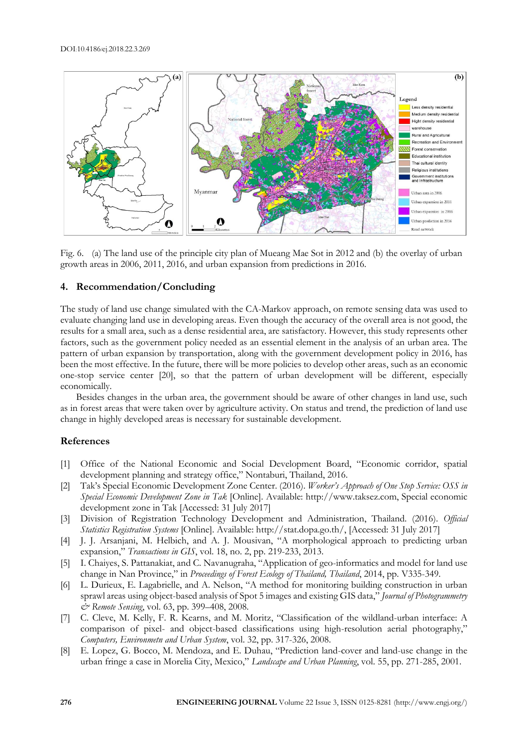

Fig. 6. (a) The land use of the principle city plan of Mueang Mae Sot in 2012 and (b) the overlay of urban growth areas in 2006, 2011, 2016, and urban expansion from predictions in 2016.

## **4. Recommendation/Concluding**

The study of land use change simulated with the CA-Markov approach, on remote sensing data was used to evaluate changing land use in developing areas. Even though the accuracy of the overall area is not good, the results for a small area, such as a dense residential area, are satisfactory. However, this study represents other factors, such as the government policy needed as an essential element in the analysis of an urban area. The pattern of urban expansion by transportation, along with the government development policy in 2016, has been the most effective. In the future, there will be more policies to develop other areas, such as an economic one-stop service center [20], so that the pattern of urban development will be different, especially economically.

Besides changes in the urban area, the government should be aware of other changes in land use, such as in forest areas that were taken over by agriculture activity. On status and trend, the prediction of land use change in highly developed areas is necessary for sustainable development.

## **References**

- [1] Office of the National Economic and Social Development Board, "Economic corridor, spatial development planning and strategy office," Nontaburi, Thailand, 2016.
- [2] Tak's Special Economic Development Zone Center. (2016). *Worker's Approach of One Stop Service: OSS in Special Economic Development Zone in Tak* [Online]. Available: http://www.taksez.com, Special economic development zone in Tak [Accessed: 31 July 2017]
- [3] Division of Registration Technology Development and Administration, Thailand. (2016). *Official Statistics Registration Systems* [Online]. Available: http://stat.dopa.go.th/, [Accessed: 31 July 2017]
- [4] J. J. Arsanjani, M. Helbich, and A. J. Mousivan, "A morphological approach to predicting urban expansion," *Transactions in GIS*, vol. 18, no. 2, pp. 219-233, 2013.
- [5] I. Chaiyes, S. Pattanakiat, and C. Navanugraha, "Application of geo-informatics and model for land use change in Nan Province," in *Proceedings of Forest Ecology of Thailand, Thailand*, 2014, pp. V335-349.
- [6] L. Durieux, E. Lagabrielle, and A. Nelson, "A method for monitoring building construction in urban sprawl areas using object-based analysis of Spot 5 images and existing GIS data," *Journal of Photogrammetry & Remote Sensing*, vol. 63, pp. 399–408, 2008.
- [7] C. Cleve, M. Kelly, F. R. Kearns, and M. Moritz, "Classification of the wildland-urban interface: A comparison of pixel- and object-based classifications using high-resolution aerial photography," *Computers, Environmetn and Urban System*, vol. 32, pp. 317-326, 2008.
- [8] E. Lopez, G. Bocco, M. Mendoza, and E. Duhau, "Prediction land-cover and land-use change in the urban fringe a case in Morelia City, Mexico," *Landscape and Urban Planning*, vol. 55, pp. 271-285, 2001.